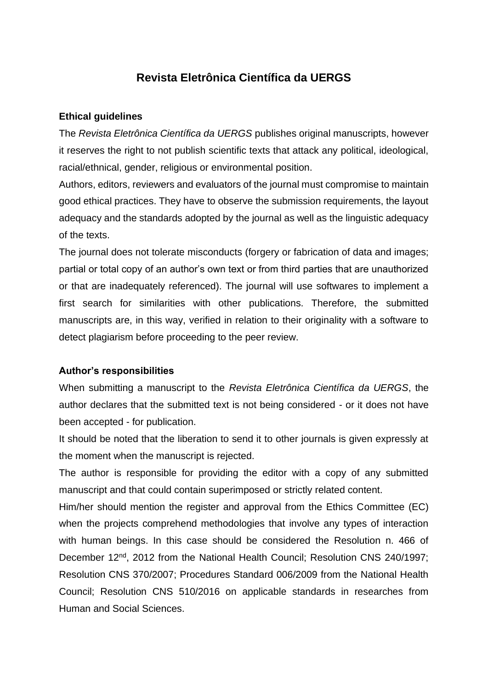# **Revista Eletrônica Científica da UERGS**

#### **Ethical guidelines**

The *Revista Eletrônica Científica da UERGS* publishes original manuscripts, however it reserves the right to not publish scientific texts that attack any political, ideological, racial/ethnical, gender, religious or environmental position.

Authors, editors, reviewers and evaluators of the journal must compromise to maintain good ethical practices. They have to observe the submission requirements, the layout adequacy and the standards adopted by the journal as well as the linguistic adequacy of the texts.

The journal does not tolerate misconducts (forgery or fabrication of data and images; partial or total copy of an author's own text or from third parties that are unauthorized or that are inadequately referenced). The journal will use softwares to implement a first search for similarities with other publications. Therefore, the submitted manuscripts are, in this way, verified in relation to their originality with a software to detect plagiarism before proceeding to the peer review.

#### **Author's responsibilities**

When submitting a manuscript to the *Revista Eletrônica Científica da UERGS*, the author declares that the submitted text is not being considered - or it does not have been accepted - for publication.

It should be noted that the liberation to send it to other journals is given expressly at the moment when the manuscript is rejected.

The author is responsible for providing the editor with a copy of any submitted manuscript and that could contain superimposed or strictly related content.

Him/her should mention the register and approval from the Ethics Committee (EC) when the projects comprehend methodologies that involve any types of interaction with human beings. In this case should be considered the Resolution n. 466 of December 12<sup>nd</sup>, 2012 from the National Health Council; Resolution CNS 240/1997; Resolution CNS 370/2007; Procedures Standard 006/2009 from the National Health Council; Resolution CNS 510/2016 on applicable standards in researches from Human and Social Sciences.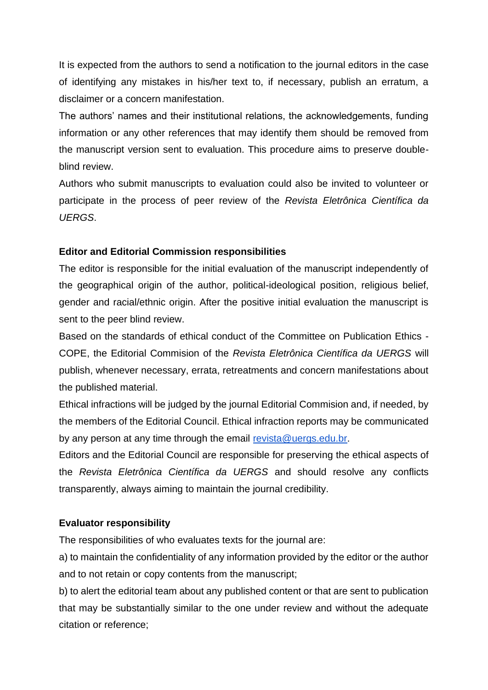It is expected from the authors to send a notification to the journal editors in the case of identifying any mistakes in his/her text to, if necessary, publish an erratum, a disclaimer or a concern manifestation.

The authors' names and their institutional relations, the acknowledgements, funding information or any other references that may identify them should be removed from the manuscript version sent to evaluation. This procedure aims to preserve doubleblind review.

Authors who submit manuscripts to evaluation could also be invited to volunteer or participate in the process of peer review of the *Revista Eletrônica Científica da UERGS*.

## **Editor and Editorial Commission responsibilities**

The editor is responsible for the initial evaluation of the manuscript independently of the geographical origin of the author, political-ideological position, religious belief, gender and racial/ethnic origin. After the positive initial evaluation the manuscript is sent to the peer blind review.

Based on the standards of ethical conduct of the Committee on Publication Ethics - COPE, the Editorial Commision of the *Revista Eletrônica Científica da UERGS* will publish, whenever necessary, errata, retreatments and concern manifestations about the published material.

Ethical infractions will be judged by the journal Editorial Commision and, if needed, by the members of the Editorial Council. Ethical infraction reports may be communicated by any person at any time through the email [revista@uergs.edu.br.](mailto:revista@uergs.edu.br)

Editors and the Editorial Council are responsible for preserving the ethical aspects of the *Revista Eletrônica Científica da UERGS* and should resolve any conflicts transparently, always aiming to maintain the journal credibility.

## **Evaluator responsibility**

The responsibilities of who evaluates texts for the journal are:

a) to maintain the confidentiality of any information provided by the editor or the author and to not retain or copy contents from the manuscript;

b) to alert the editorial team about any published content or that are sent to publication that may be substantially similar to the one under review and without the adequate citation or reference;